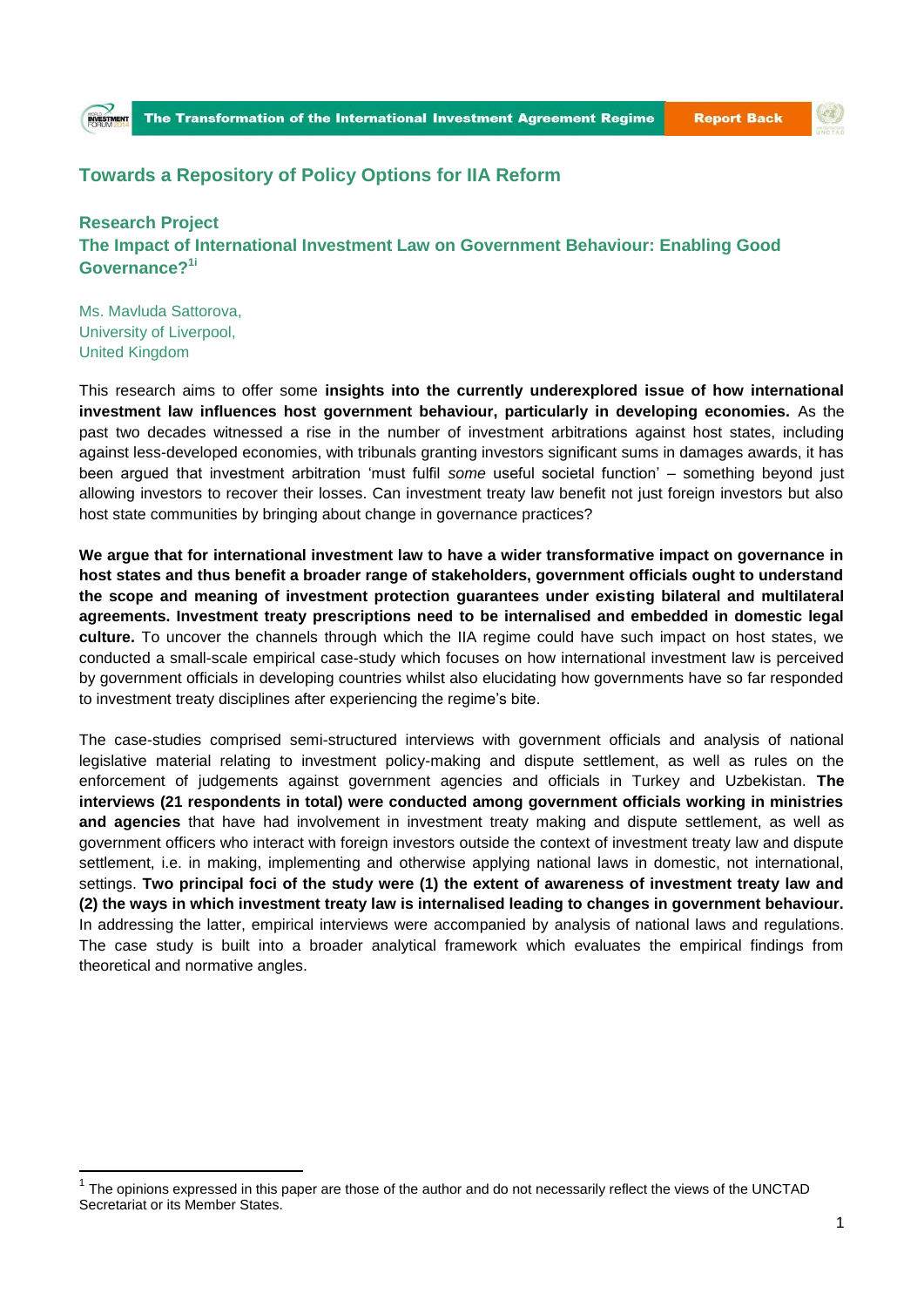## **Towards a Repository of Policy Options for IIA Reform**

**Research Project The Impact of International Investment Law on Government Behaviour: Enabling Good Governance?1i**

Ms. Mavluda Sattorova, University of Liverpool, United Kingdom

 $\overline{a}$ 

This research aims to offer some **insights into the currently underexplored issue of how international investment law influences host government behaviour, particularly in developing economies.** As the past two decades witnessed a rise in the number of investment arbitrations against host states, including against less-developed economies, with tribunals granting investors significant sums in damages awards, it has been argued that investment arbitration 'must fulfil *some* useful societal function' – something beyond just allowing investors to recover their losses. Can investment treaty law benefit not just foreign investors but also host state communities by bringing about change in governance practices?

**We argue that for international investment law to have a wider transformative impact on governance in host states and thus benefit a broader range of stakeholders, government officials ought to understand the scope and meaning of investment protection guarantees under existing bilateral and multilateral agreements. Investment treaty prescriptions need to be internalised and embedded in domestic legal culture.** To uncover the channels through which the IIA regime could have such impact on host states, we conducted a small-scale empirical case-study which focuses on how international investment law is perceived by government officials in developing countries whilst also elucidating how governments have so far responded to investment treaty disciplines after experiencing the regime's bite.

The case-studies comprised semi-structured interviews with government officials and analysis of national legislative material relating to investment policy-making and dispute settlement, as well as rules on the enforcement of judgements against government agencies and officials in Turkey and Uzbekistan. **The interviews (21 respondents in total) were conducted among government officials working in ministries and agencies** that have had involvement in investment treaty making and dispute settlement, as well as government officers who interact with foreign investors outside the context of investment treaty law and dispute settlement, i.e. in making, implementing and otherwise applying national laws in domestic, not international, settings. **Two principal foci of the study were (1) the extent of awareness of investment treaty law and (2) the ways in which investment treaty law is internalised leading to changes in government behaviour.** In addressing the latter, empirical interviews were accompanied by analysis of national laws and regulations. The case study is built into a broader analytical framework which evaluates the empirical findings from theoretical and normative angles.

<sup>1</sup> The opinions expressed in this paper are those of the author and do not necessarily reflect the views of the UNCTAD Secretariat or its Member States.